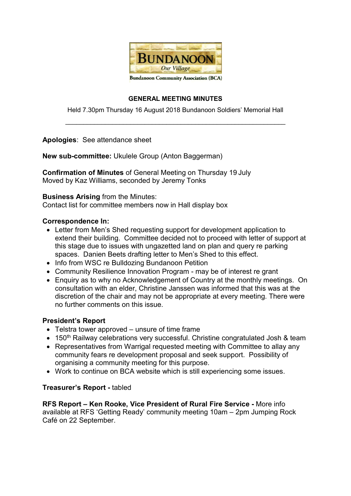

#### GENERAL MEETING MINUTES

Held 7.30pm Thursday 16 August 2018 Bundanoon Soldiers' Memorial Hall  $\_$  , and the set of the set of the set of the set of the set of the set of the set of the set of the set of the set of the set of the set of the set of the set of the set of the set of the set of the set of the set of th

Apologies: See attendance sheet

New sub-committee: Ukulele Group (Anton Baggerman)

Confirmation of Minutes of General Meeting on Thursday 19 July Moved by Kaz Williams, seconded by Jeremy Tonks

### Business Arising from the Minutes:

Contact list for committee members now in Hall display box

### Correspondence In:

- Letter from Men's Shed requesting support for development application to extend their building. Committee decided not to proceed with letter of support at this stage due to issues with ungazetted land on plan and query re parking spaces. Danien Beets drafting letter to Men's Shed to this effect.
- Info from WSC re Bulldozing Bundanoon Petition
- Community Resilience Innovation Program may be of interest re grant
- Enquiry as to why no Acknowledgement of Country at the monthly meetings. On consultation with an elder, Christine Janssen was informed that this was at the discretion of the chair and may not be appropriate at every meeting. There were no further comments on this issue.

#### President's Report

- Telstra tower approved unsure of time frame
- 150<sup>th</sup> Railway celebrations very successful. Christine congratulated Josh & team
- Representatives from Warrigal requested meeting with Committee to allay any community fears re development proposal and seek support. Possibility of organising a community meeting for this purpose.
- Work to continue on BCA website which is still experiencing some issues.

## Treasurer's Report - tabled

RFS Report – Ken Rooke, Vice President of Rural Fire Service - More info available at RFS 'Getting Ready' community meeting 10am – 2pm Jumping Rock Café on 22 September.